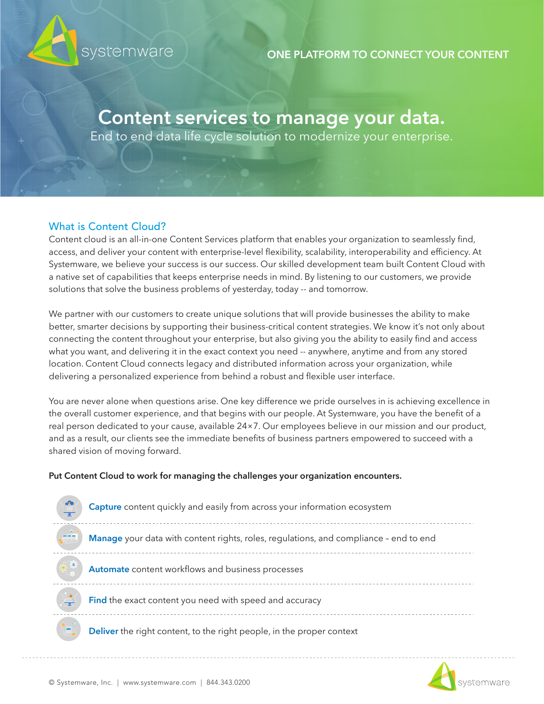

## **ONE PLATFORM TO CONNECT YOUR CONTENT**

# **Content services to manage your data.**

End to end data life cycle solution to modernize your enterprise.

# What is Content Cloud?

Content cloud is an all-in-one Content Services platform that enables your organization to seamlessly find, access, and deliver your content with enterprise-level flexibility, scalability, interoperability and efficiency. At Systemware, we believe your success is our success. Our skilled development team built Content Cloud with a native set of capabilities that keeps enterprise needs in mind. By listening to our customers, we provide solutions that solve the business problems of yesterday, today -- and tomorrow.

We partner with our customers to create unique solutions that will provide businesses the ability to make better, smarter decisions by supporting their business-critical content strategies. We know it's not only about connecting the content throughout your enterprise, but also giving you the ability to easily find and access what you want, and delivering it in the exact context you need -- anywhere, anytime and from any stored location. Content Cloud connects legacy and distributed information across your organization, while delivering a personalized experience from behind a robust and flexible user interface.

You are never alone when questions arise. One key difference we pride ourselves in is achieving excellence in the overall customer experience, and that begins with our people. At Systemware, you have the benefit of a real person dedicated to your cause, available 24×7. Our employees believe in our mission and our product, and as a result, our clients see the immediate benefits of business partners empowered to succeed with a shared vision of moving forward.

## **Put Content Cloud to work for managing the challenges your organization encounters.**



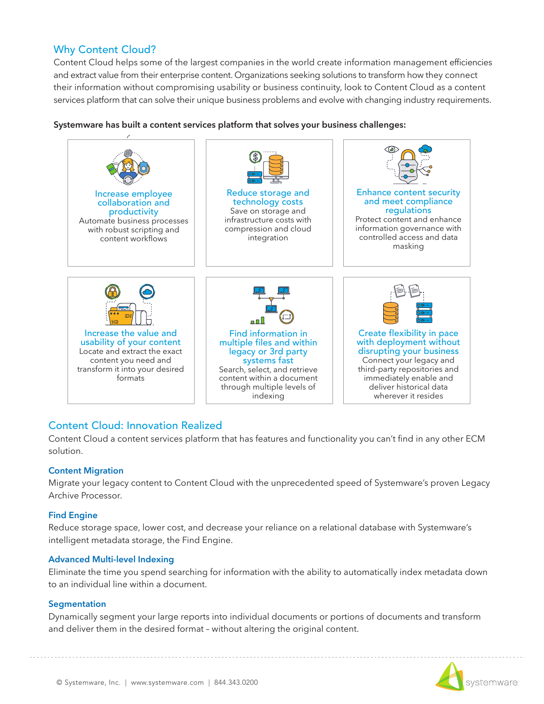## Why Content Cloud?

Content Cloud helps some of the largest companies in the world create information management efficiencies and extract value from their enterprise content. Organizations seeking solutions to transform how they connect their information without compromising usability or business continuity, look to Content Cloud as a content services platform that can solve their unique business problems and evolve with changing industry requirements.



### **Systemware has built a content services platform that solves your business challenges:**

## Content Cloud: Innovation Realized

Content Cloud a content services platform that has features and functionality you can't find in any other ECM solution.

#### **Content Migration**

Migrate your legacy content to Content Cloud with the unprecedented speed of Systemware's proven Legacy Archive Processor.

#### **Find Engine**

Reduce storage space, lower cost, and decrease your reliance on a relational database with Systemware's intelligent metadata storage, the Find Engine.

#### **Advanced Multi-level Indexing**

Eliminate the time you spend searching for information with the ability to automatically index metadata down to an individual line within a document.

#### **Segmentation**

Dynamically segment your large reports into individual documents or portions of documents and transform and deliver them in the desired format – without altering the original content.